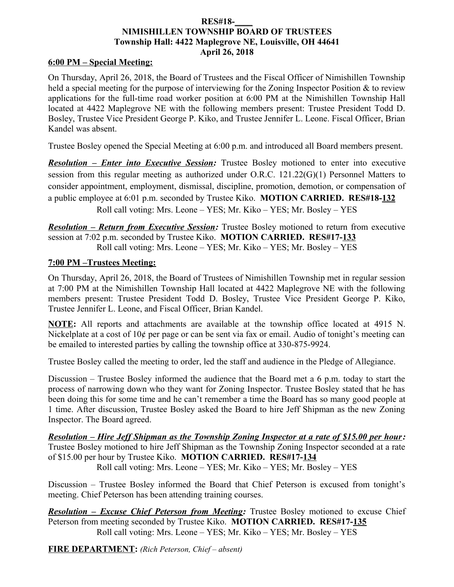#### **RES#18-\_\_\_\_ NIMISHILLEN TOWNSHIP BOARD OF TRUSTEES Township Hall: 4422 Maplegrove NE, Louisville, OH 44641 April 26, 2018**

#### **6:00 PM – Special Meeting:**

On Thursday, April 26, 2018, the Board of Trustees and the Fiscal Officer of Nimishillen Township held a special meeting for the purpose of interviewing for the Zoning Inspector Position & to review applications for the full-time road worker position at 6:00 PM at the Nimishillen Township Hall located at 4422 Maplegrove NE with the following members present: Trustee President Todd D. Bosley, Trustee Vice President George P. Kiko, and Trustee Jennifer L. Leone. Fiscal Officer, Brian Kandel was absent.

Trustee Bosley opened the Special Meeting at 6:00 p.m. and introduced all Board members present.

*Resolution – Enter into Executive Session:* Trustee Bosley motioned to enter into executive session from this regular meeting as authorized under O.R.C. 121.22(G)(1) Personnel Matters to consider appointment, employment, dismissal, discipline, promotion, demotion, or compensation of a public employee at 6:01 p.m. seconded by Trustee Kiko. **MOTION CARRIED. RES#18-132** Roll call voting: Mrs. Leone – YES; Mr. Kiko – YES; Mr. Bosley – YES

*Resolution – Return from Executive Session:* Trustee Bosley motioned to return from executive session at 7:02 p.m. seconded by Trustee Kiko. **MOTION CARRIED. RES#17-133** Roll call voting: Mrs. Leone – YES; Mr. Kiko – YES; Mr. Bosley – YES

### **7:00 PM –Trustees Meeting:**

On Thursday, April 26, 2018, the Board of Trustees of Nimishillen Township met in regular session at 7:00 PM at the Nimishillen Township Hall located at 4422 Maplegrove NE with the following members present: Trustee President Todd D. Bosley, Trustee Vice President George P. Kiko, Trustee Jennifer L. Leone, and Fiscal Officer, Brian Kandel.

**NOTE:** All reports and attachments are available at the township office located at 4915 N. Nickelplate at a cost of 10¢ per page or can be sent via fax or email. Audio of tonight's meeting can be emailed to interested parties by calling the township office at 330-875-9924.

Trustee Bosley called the meeting to order, led the staff and audience in the Pledge of Allegiance.

Discussion – Trustee Bosley informed the audience that the Board met a 6 p.m. today to start the process of narrowing down who they want for Zoning Inspector. Trustee Bosley stated that he has been doing this for some time and he can't remember a time the Board has so many good people at 1 time. After discussion, Trustee Bosley asked the Board to hire Jeff Shipman as the new Zoning Inspector. The Board agreed.

*Resolution – Hire Jeff Shipman as the Township Zoning Inspector at a rate of \$15.00 per hour:* Trustee Bosley motioned to hire Jeff Shipman as the Township Zoning Inspector seconded at a rate of \$15.00 per hour by Trustee Kiko. **MOTION CARRIED. RES#17-134** Roll call voting: Mrs. Leone – YES; Mr. Kiko – YES; Mr. Bosley – YES

Discussion – Trustee Bosley informed the Board that Chief Peterson is excused from tonight's meeting. Chief Peterson has been attending training courses.

*Resolution – Excuse Chief Peterson from Meeting:* Trustee Bosley motioned to excuse Chief Peterson from meeting seconded by Trustee Kiko. **MOTION CARRIED. RES#17-135** Roll call voting: Mrs. Leone – YES; Mr. Kiko – YES; Mr. Bosley – YES

**FIRE DEPARTMENT:** *(Rich Peterson, Chief – absent)*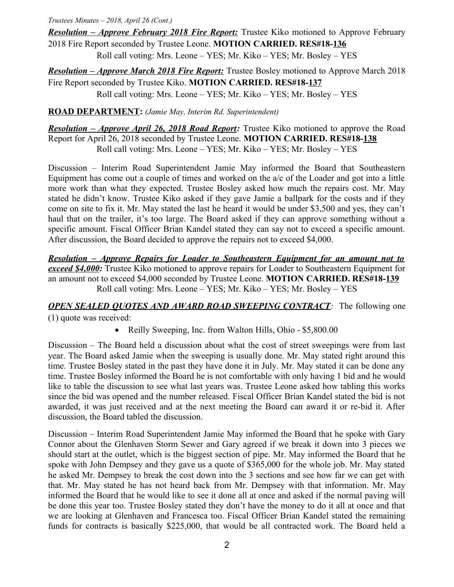*Resolution – Approve February 2018 Fire Report:* Trustee Kiko motioned to Approve February 2018 Fire Report seconded by Trustee Leone. **MOTION CARRIED. RES#18-136**

Roll call voting: Mrs. Leone – YES; Mr. Kiko – YES; Mr. Bosley – YES

*Resolution – Approve March 2018 Fire Report:* Trustee Bosley motioned to Approve March 2018 Fire Report seconded by Trustee Kiko. **MOTION CARRIED. RES#18-137** Roll call voting: Mrs. Leone – YES; Mr. Kiko – YES; Mr. Bosley – YES

**ROAD DEPARTMENT:** *(Jamie May, Interim Rd. Superintendent)*

*Resolution – Approve April 26, 2018 Road Report:* Trustee Kiko motioned to approve the Road Report for April 26, 2018 seconded by Trustee Leone. **MOTION CARRIED. RES#18-138** Roll call voting: Mrs. Leone – YES; Mr. Kiko – YES; Mr. Bosley – YES

Discussion – Interim Road Superintendent Jamie May informed the Board that Southeastern Equipment has come out a couple of times and worked on the a/c of the Loader and got into a little more work than what they expected. Trustee Bosley asked how much the repairs cost. Mr. May stated he didn't know. Trustee Kiko asked if they gave Jamie a ballpark for the costs and if they come on site to fix it. Mr. May stated the last he heard it would be under \$3,500 and yes, they can't haul that on the trailer, it's too large. The Board asked if they can approve something without a specific amount. Fiscal Officer Brian Kandel stated they can say not to exceed a specific amount. After discussion, the Board decided to approve the repairs not to exceed \$4,000.

*Resolution – Approve Repairs for Loader to Southeastern Equipment for an amount not to* **exceed \$4,000:** Trustee Kiko motioned to approve repairs for Loader to Southeastern Equipment for an amount not to exceed \$4,000 seconded by Trustee Leone. **MOTION CARRIED. RES#18-139** Roll call voting: Mrs. Leone – YES; Mr. Kiko – YES; Mr. Bosley – YES

## *OPEN SEALED QUOTES AND AWARD ROAD SWEEPING CONTRACT:* The following one

(1) quote was received:

• Reilly Sweeping, Inc. from Walton Hills, Ohio - \$5,800.00

Discussion – The Board held a discussion about what the cost of street sweepings were from last year. The Board asked Jamie when the sweeping is usually done. Mr. May stated right around this time. Trustee Bosley stated in the past they have done it in July. Mr. May stated it can be done any time. Trustee Bosley informed the Board he is not comfortable with only having 1 bid and he would like to table the discussion to see what last years was. Trustee Leone asked how tabling this works since the bid was opened and the number released. Fiscal Officer Brian Kandel stated the bid is not awarded, it was just received and at the next meeting the Board can award it or re-bid it. After discussion, the Board tabled the discussion.

Discussion – Interim Road Superintendent Jamie May informed the Board that he spoke with Gary Connor about the Glenhaven Storm Sewer and Gary agreed if we break it down into 3 pieces we should start at the outlet, which is the biggest section of pipe. Mr. May informed the Board that he spoke with John Dempsey and they gave us a quote of \$365,000 for the whole job. Mr. May stated he asked Mr. Dempsey to break the cost down into the 3 sections and see how far we can get with that. Mr. May stated he has not heard back from Mr. Dempsey with that information. Mr. May informed the Board that he would like to see it done all at once and asked if the normal paving will be done this year too. Trustee Bosley stated they don't have the money to do it all at once and that we are looking at Glenhaven and Francesca too. Fiscal Officer Brian Kandel stated the remaining funds for contracts is basically \$225,000, that would be all contracted work. The Board held a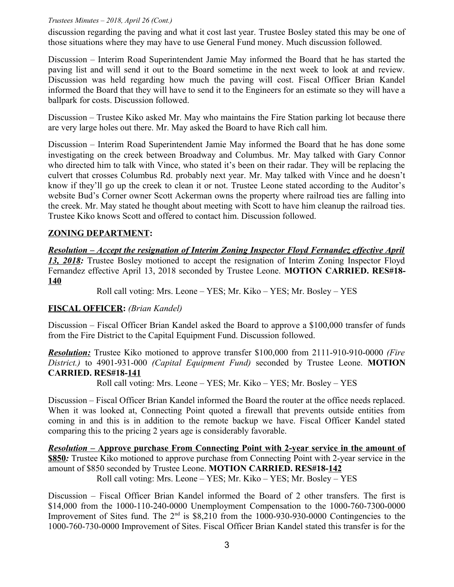discussion regarding the paving and what it cost last year. Trustee Bosley stated this may be one of those situations where they may have to use General Fund money. Much discussion followed.

Discussion – Interim Road Superintendent Jamie May informed the Board that he has started the paving list and will send it out to the Board sometime in the next week to look at and review. Discussion was held regarding how much the paving will cost. Fiscal Officer Brian Kandel informed the Board that they will have to send it to the Engineers for an estimate so they will have a ballpark for costs. Discussion followed.

Discussion – Trustee Kiko asked Mr. May who maintains the Fire Station parking lot because there are very large holes out there. Mr. May asked the Board to have Rich call him.

Discussion – Interim Road Superintendent Jamie May informed the Board that he has done some investigating on the creek between Broadway and Columbus. Mr. May talked with Gary Connor who directed him to talk with Vince, who stated it's been on their radar. They will be replacing the culvert that crosses Columbus Rd. probably next year. Mr. May talked with Vince and he doesn't know if they'll go up the creek to clean it or not. Trustee Leone stated according to the Auditor's website Bud's Corner owner Scott Ackerman owns the property where railroad ties are falling into the creek. Mr. May stated he thought about meeting with Scott to have him cleanup the railroad ties. Trustee Kiko knows Scott and offered to contact him. Discussion followed.

# **ZONING DEPARTMENT:**

### *Resolution – Accept the resignation of Interim Zoning Inspector Floyd Fernandez effective April 13, 2018:* Trustee Bosley motioned to accept the resignation of Interim Zoning Inspector Floyd Fernandez effective April 13, 2018 seconded by Trustee Leone. **MOTION CARRIED. RES#18- 140**

Roll call voting: Mrs. Leone – YES; Mr. Kiko – YES; Mr. Bosley – YES

# **FISCAL OFFICER:** *(Brian Kandel)*

Discussion – Fiscal Officer Brian Kandel asked the Board to approve a \$100,000 transfer of funds from the Fire District to the Capital Equipment Fund. Discussion followed.

 *Resolution:* Trustee Kiko motioned to approve transfer \$100,000 from 2111-910-910-0000 *(Fire District.)* to 4901-931-000 *(Capital Equipment Fund)* seconded by Trustee Leone. **MOTION CARRIED. RES#18-141**

Roll call voting: Mrs. Leone – YES; Mr. Kiko – YES; Mr. Bosley – YES

Discussion – Fiscal Officer Brian Kandel informed the Board the router at the office needs replaced. When it was looked at, Connecting Point quoted a firewall that prevents outside entities from coming in and this is in addition to the remote backup we have. Fiscal Officer Kandel stated comparing this to the pricing 2 years age is considerably favorable.

 *Resolution –* **Approve purchase From Connecting Point with 2-year service in the amount of \$850***:* Trustee Kiko motioned to approve purchase from Connecting Point with 2-year service in the amount of \$850 seconded by Trustee Leone. **MOTION CARRIED. RES#18-142** Roll call voting: Mrs. Leone – YES; Mr. Kiko – YES; Mr. Bosley – YES

Discussion – Fiscal Officer Brian Kandel informed the Board of 2 other transfers. The first is \$14,000 from the 1000-110-240-0000 Unemployment Compensation to the 1000-760-7300-0000 Improvement of Sites fund. The  $2<sup>nd</sup>$  is \$8,210 from the 1000-930-930-0000 Contingencies to the 1000-760-730-0000 Improvement of Sites. Fiscal Officer Brian Kandel stated this transfer is for the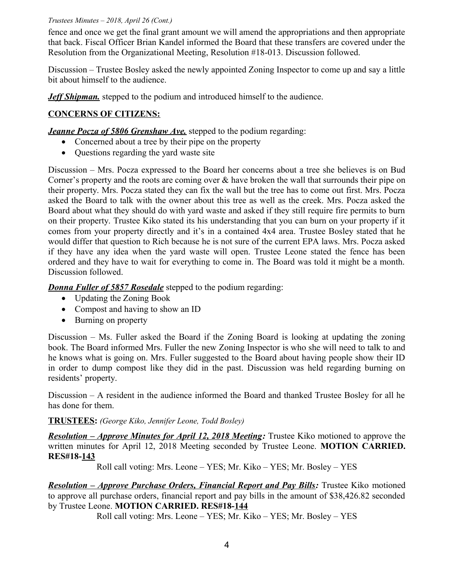fence and once we get the final grant amount we will amend the appropriations and then appropriate that back. Fiscal Officer Brian Kandel informed the Board that these transfers are covered under the Resolution from the Organizational Meeting, Resolution #18-013. Discussion followed.

Discussion – Trustee Bosley asked the newly appointed Zoning Inspector to come up and say a little bit about himself to the audience.

*Jeff Shipman.* stepped to the podium and introduced himself to the audience.

## **CONCERNS OF CITIZENS:**

*Jeanne Pocza of 5806 Grenshaw Ave.* stepped to the podium regarding:

- Concerned about a tree by their pipe on the property
- Questions regarding the yard waste site

Discussion – Mrs. Pocza expressed to the Board her concerns about a tree she believes is on Bud Corner's property and the roots are coming over  $\&$  have broken the wall that surrounds their pipe on their property. Mrs. Pocza stated they can fix the wall but the tree has to come out first. Mrs. Pocza asked the Board to talk with the owner about this tree as well as the creek. Mrs. Pocza asked the Board about what they should do with yard waste and asked if they still require fire permits to burn on their property. Trustee Kiko stated its his understanding that you can burn on your property if it comes from your property directly and it's in a contained 4x4 area. Trustee Bosley stated that he would differ that question to Rich because he is not sure of the current EPA laws. Mrs. Pocza asked if they have any idea when the yard waste will open. Trustee Leone stated the fence has been ordered and they have to wait for everything to come in. The Board was told it might be a month. Discussion followed.

*Donna Fuller of 5857 Rosedale* stepped to the podium regarding:

- Updating the Zoning Book
- Compost and having to show an ID
- Burning on property

Discussion – Ms. Fuller asked the Board if the Zoning Board is looking at updating the zoning book. The Board informed Mrs. Fuller the new Zoning Inspector is who she will need to talk to and he knows what is going on. Mrs. Fuller suggested to the Board about having people show their ID in order to dump compost like they did in the past. Discussion was held regarding burning on residents' property.

Discussion – A resident in the audience informed the Board and thanked Trustee Bosley for all he has done for them.

## **TRUSTEES:** *(George Kiko, Jennifer Leone, Todd Bosley)*

 *Resolution – Approve Minutes for April 12, 2018 Meeting:* Trustee Kiko motioned to approve the written minutes for April 12, 2018 Meeting seconded by Trustee Leone. **MOTION CARRIED. RES#18-143**

Roll call voting: Mrs. Leone – YES; Mr. Kiko – YES; Mr. Bosley – YES

*Resolution – Approve Purchase Orders, Financial Report and Pay Bills:* Trustee Kiko motioned to approve all purchase orders, financial report and pay bills in the amount of \$38,426.82 seconded by Trustee Leone. **MOTION CARRIED. RES#18-144**

Roll call voting: Mrs. Leone – YES; Mr. Kiko – YES; Mr. Bosley – YES